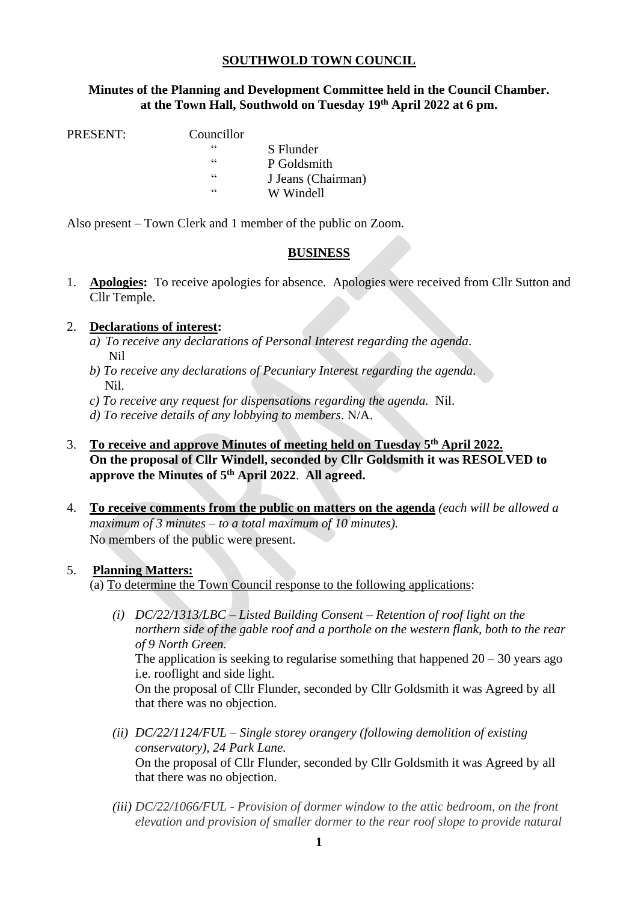### **SOUTHWOLD TOWN COUNCIL**

### **Minutes of the Planning and Development Committee held in the Council Chamber. at the Town Hall, Southwold on Tuesday 19th April 2022 at 6 pm.**

PRESENT: Councillor

| піснюг |                    |
|--------|--------------------|
| 66     | S Flunder          |
| 66     | P Goldsmith        |
| 66     | J Jeans (Chairman) |
| $\leq$ | W Windell          |
|        |                    |

Also present – Town Clerk and 1 member of the public on Zoom.

# **BUSINESS**

1. **Apologies:** To receive apologies for absence. Apologies were received from Cllr Sutton and Cllr Temple.

### 2. **Declarations of interest:**

- *a) To receive any declarations of Personal Interest regarding the agenda*. Nil
- *b) To receive any declarations of Pecuniary Interest regarding the agenda.* Nil.
- *c) To receive any request for dispensations regarding the agenda.* Nil.
- *d) To receive details of any lobbying to members*. N/A.
- 3. **To receive and approve Minutes of meeting held on Tuesday 5 th April 2022. On the proposal of Cllr Windell, seconded by Cllr Goldsmith it was RESOLVED to approve the Minutes of 5 th April 2022**. **All agreed.**
- 4. **To receive comments from the public on matters on the agenda** *(each will be allowed a maximum of 3 minutes – to a total maximum of 10 minutes).* No members of the public were present.

#### 5. **Planning Matters:**

(a) To determine the Town Council response to the following applications:

- *(i) DC/22/1313/LBC – Listed Building Consent – Retention of roof light on the northern side of the gable roof and a porthole on the western flank, both to the rear of 9 North Green.*  The application is seeking to regularise something that happened  $20 - 30$  years ago i.e. rooflight and side light. On the proposal of Cllr Flunder, seconded by Cllr Goldsmith it was Agreed by all that there was no objection.
- *(ii) DC/22/1124/FUL – Single storey orangery (following demolition of existing conservatory), 24 Park Lane.*  On the proposal of Cllr Flunder, seconded by Cllr Goldsmith it was Agreed by all that there was no objection.
- *(iii) DC/22/1066/FUL - Provision of dormer window to the attic bedroom, on the front elevation and provision of smaller dormer to the rear roof slope to provide natural*